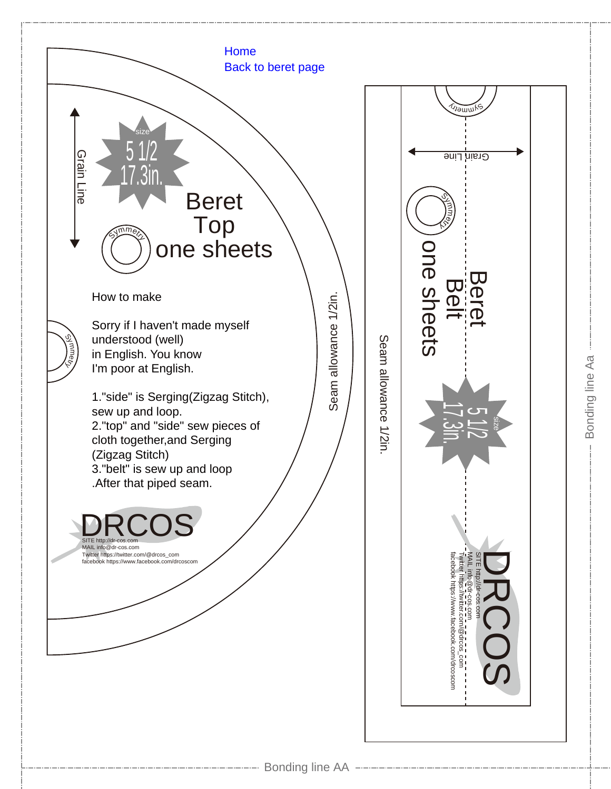

Bonding line Aa

Bonding line Aa